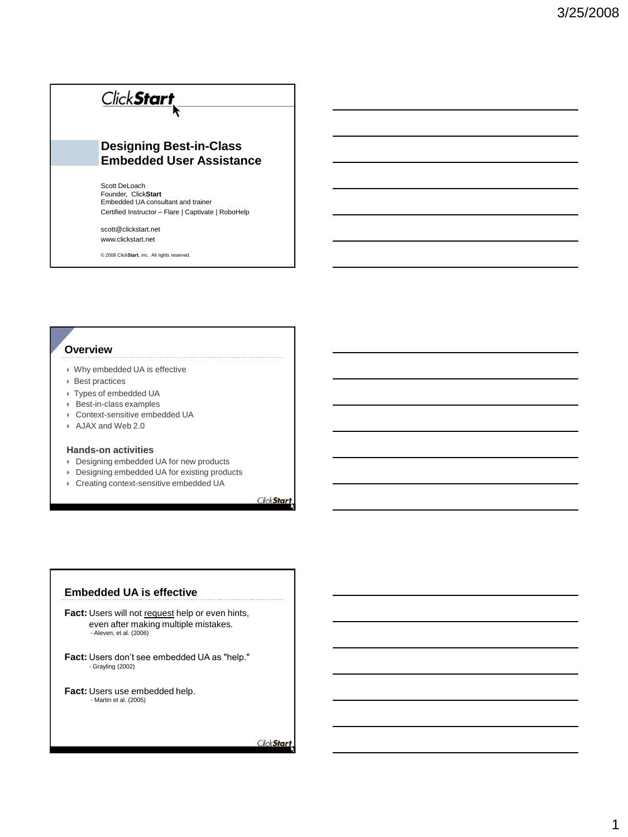# Click Start **Designing Best-in-Class Embedded User Assistance** Scott DeLoach Founder, Click**Start** Embedded UA consultant and trainer Certified Instructor – Flare | Captivate | RoboHelp

scott@clickstart.net www.clickstart.net

© 2008 Click**Start**, Inc. All rights reserved.

#### **Overview**

- Why embedded UA is effective
- Best practices
- Types of embedded UA
- ▶ Best-in-class examples
- Context-sensitive embedded UA
- AJAX and Web 2.0

#### **Hands-on activities**

- Designing embedded UA for new products
- ▶ Designing embedded UA for existing products
- Creating context-sensitive embedded UA

ClickStart

#### **Embedded UA is effective**

**Fact:** Users will not request help or even hints, even after making multiple mistakes. - Aleven, et al. (2006)

**Fact:** Users don't see embedded UA as "help." - Grayling (2002)

**Fact:** Users use embedded help. - Martin et al. (2005)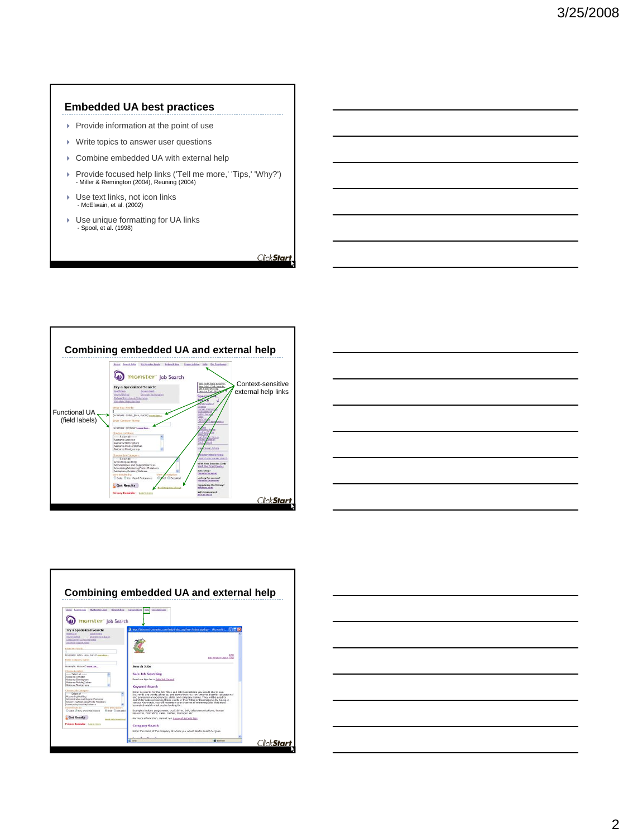### **Embedded UA best practices**

- $\triangleright$  Provide information at the point of use
- ▶ Write topics to answer user questions
- Combine embedded UA with external help
- Provide focused help links ('Tell me more,' 'Tips,' 'Why?') Miller & Remington (2004), Reuning (2004)
- Use text links, not icon links - McElwain, et al. (2002)
- ▶ Use unique formatting for UA links - Spool, et al. (1998)







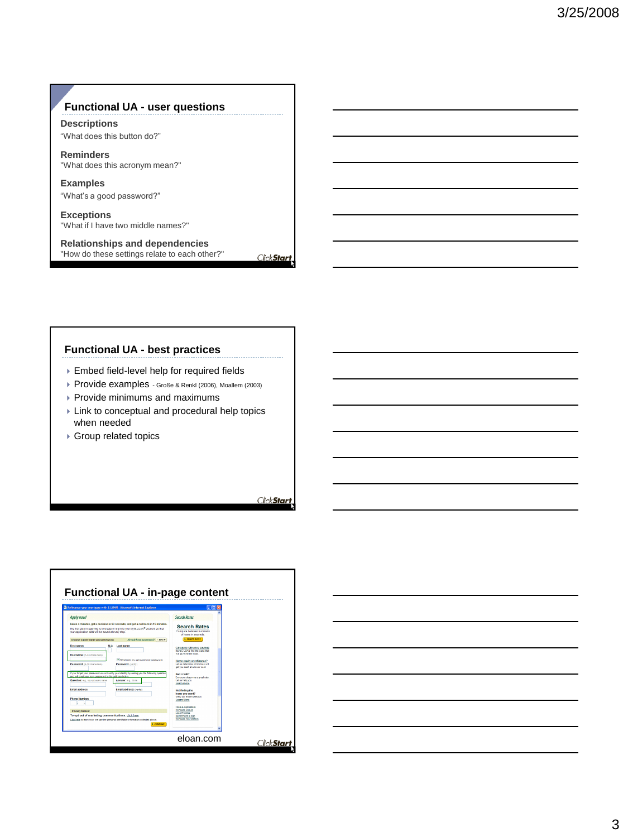### **Functional UA - user questions**

**Descriptions** "What does this button do?"

**Reminders** "What does this acronym mean?"

**Examples** "What's a good password?"

**Exceptions** "What if I have two middle names?"

**Relationships and dependencies** "How do these settings relate to each other?"

**Functional UA - best practices**

- Embed field-level help for required fields
- Provide examples Große & Renkl (2006), Moallem (2003)
- $\blacktriangleright$  Provide minimums and maximums
- **Link to conceptual and procedural help topics** when needed
- ▶ Group related topics

ClickStart



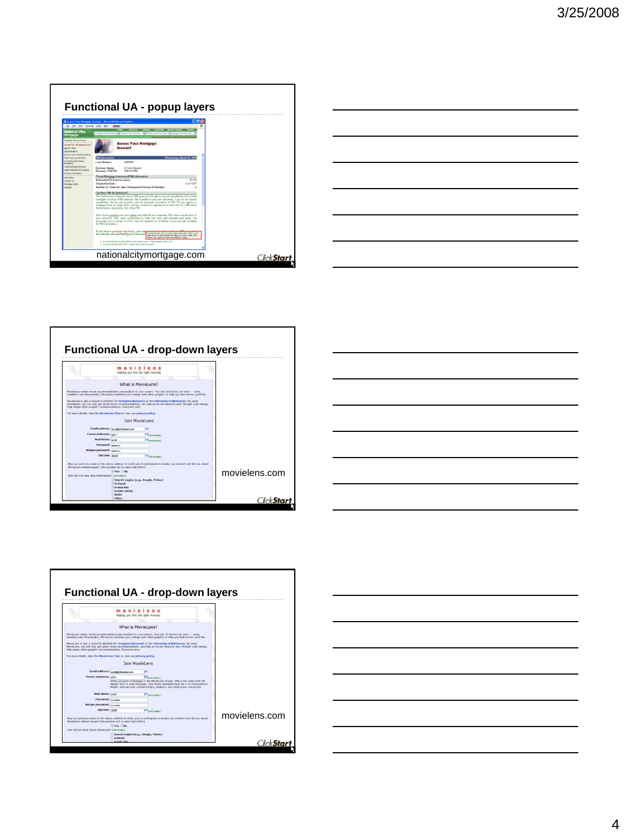









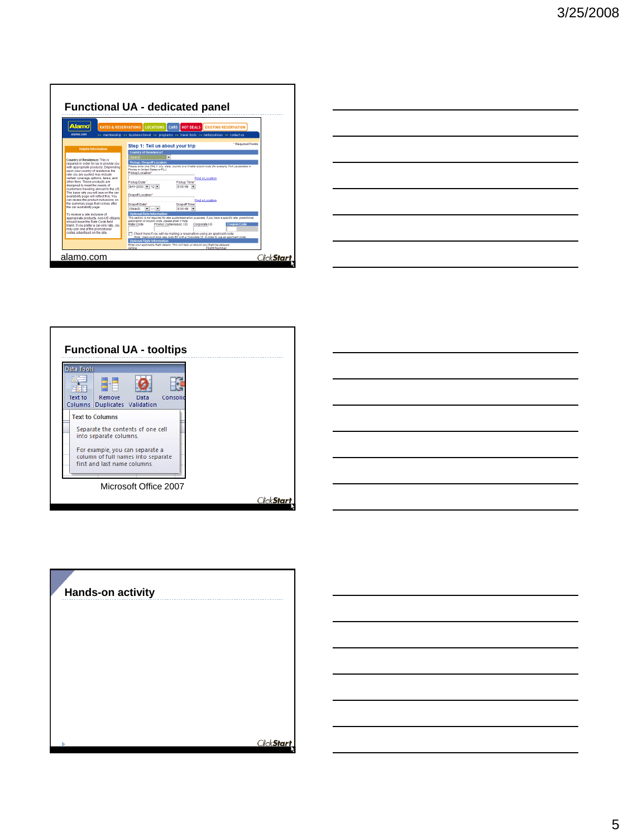|                                                                                   | <b>Functional UA - dedicated panel</b>                                                                                                                                   |
|-----------------------------------------------------------------------------------|--------------------------------------------------------------------------------------------------------------------------------------------------------------------------|
| <b>Alamo</b><br><b>RATES &amp; RESERVATIONS</b>                                   | LOCATIONS<br>CARS<br><b>HOT DEALS EXISTING RESERVATION</b>                                                                                                               |
| alamn com                                                                         | >> membership >> business travel >> programs >> travel tools >> rental policies >> contactius                                                                            |
|                                                                                   | * Required Fields<br>Step 1: Tell us about your trip                                                                                                                     |
| <b>Helpful Information</b>                                                        | <b>Country of Residence?</b>                                                                                                                                             |
| Country of Residence: This is                                                     | ÷<br>Select)                                                                                                                                                             |
| required in order for us to provide you                                           | <b>Pickup / Dropoff Location</b>                                                                                                                                         |
| with appropriate products. Depending                                              | Please enter one ONLY: oity, alate, country or a 3-letter airport code (for example, Fort Lauderdale or<br>Findida or United States or FLL1                              |
| upon your country of residence the<br>rate you are quoted may include             | Pickup Location*                                                                                                                                                         |
| certain coverage options, taxes, and                                              | Find a Location                                                                                                                                                          |
| other fees. These products are<br>designed to meet the needs of                   | Pickup Time*<br>Pickup Date*                                                                                                                                             |
| customers traveling abroad to the US.                                             | $MAY-2003$ - 12 -<br>$9.00 \text{ AM}$ -                                                                                                                                 |
| The base rate you will see on the car<br>availability page will reflect this. You | Dropoff Location*                                                                                                                                                        |
| can review the product inclusions on                                              | Find a Location                                                                                                                                                          |
| the summary page that comes after                                                 | Dropoff Date*<br>Dropoff Time*                                                                                                                                           |
| the car availability page.                                                        | $9.00 \text{ AM}$ $\rightarrow$<br>(Select)                                                                                                                              |
| To receive a rate inclusive of                                                    | <b>Optional Rate Information</b>                                                                                                                                         |
| appropriate products, non-US citizens.<br>should leave the Rate Code field        | This section is not required for rate quote/reservation purposes. If you have a specific rate, promotional,<br>association or coupon code, please enter it here.         |
| blank. If you prefer a car-only rate, you                                         | <b>Coupon Code</b><br>Rate Code<br>Promo Code/Assoc. I.D.<br>Corporate ID.                                                                                               |
| may use one of the promotional<br>codes advertised on the site.                   |                                                                                                                                                                          |
|                                                                                   | Check here if you will be making a reservation using an applicant code.<br>(Note: Users must book rate code EX with a Corporate I.D. in order to use an applicant code). |
|                                                                                   | <b>Optional Flight Information</b>                                                                                                                                       |
|                                                                                   | Enter your applicable flight details. This will help us should your flight be delayed.<br>Flight Number<br>Airline                                                       |
|                                                                                   |                                                                                                                                                                          |

|                                                                                                                      |  | <u> 1989 - Johann Barn, mars ann an t-Amhain ann an t-Amhain ann an t-Amhain ann an t-Amhain an t-Amhain ann an t-</u> |
|----------------------------------------------------------------------------------------------------------------------|--|------------------------------------------------------------------------------------------------------------------------|
|                                                                                                                      |  | <u> 1989 - Andrea Santa Andrea Andrea Andrea Andrea Andrea Andrea Andrea Andrea Andrea Andrea Andrea Andrea Andr</u>   |
|                                                                                                                      |  | <u> 1989 - Johann Barn, mars ann an t-Amhain ann an t-Amhain ann an t-Amhain ann an t-Amhain an t-Amhain ann an t-</u> |
| <u> 1980 - Johann Barbara, martxa alemaniar amerikan a</u>                                                           |  | $\overline{\phantom{a}}$                                                                                               |
| <u> 1989 - Johann Stoff, Amerikaansk politiker (* 1958)</u>                                                          |  |                                                                                                                        |
| <u> 1989 - Johann Stoff, amerikan besteht fan de ferskearre fan de ferskearre fan de ferskearre fan de ferskearr</u> |  |                                                                                                                        |



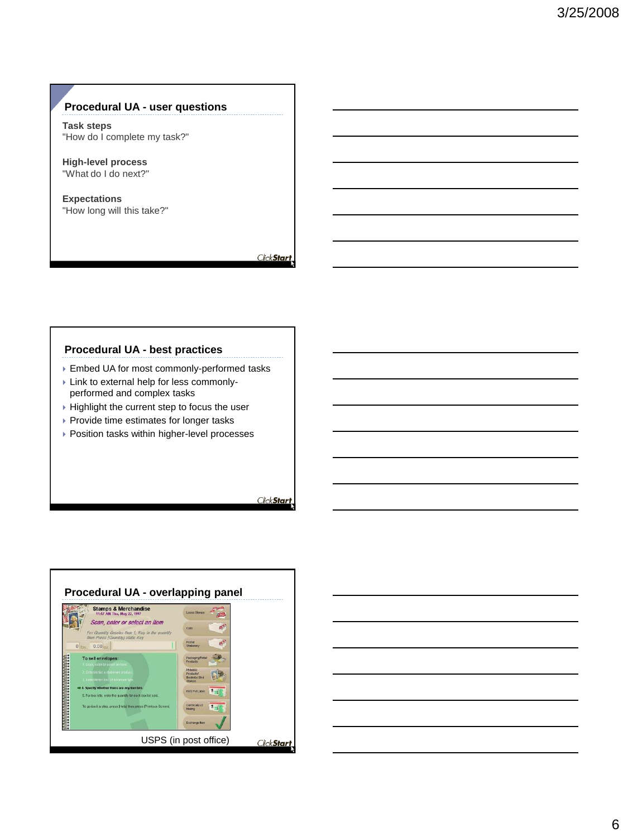### **Procedural UA - user questions**

**Task steps** "How do I complete my task?"

**High-level process** "What do I do next?"

**Expectations** "How long will this take?"

ClickStart

### **Procedural UA - best practices**

- Embed UA for most commonly-performed tasks
- Link to external help for less commonlyperformed and complex tasks
- $\triangleright$  Highlight the current step to focus the user
- ▶ Provide time estimates for longer tasks
- Position tasks within higher-level processes



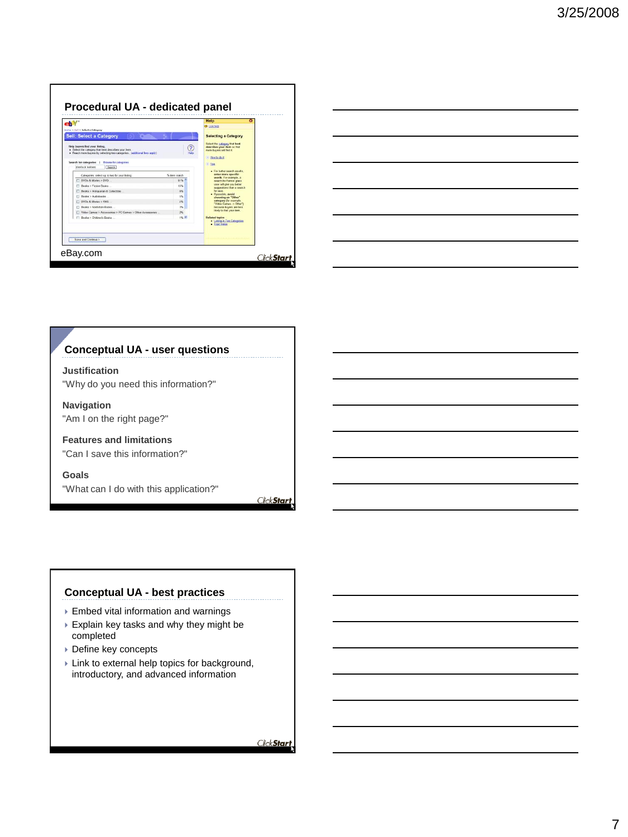|                                                                                                                                                                                                                                                         | Help<br><b>b</b> Live help |                                                                                               |
|---------------------------------------------------------------------------------------------------------------------------------------------------------------------------------------------------------------------------------------------------------|----------------------------|-----------------------------------------------------------------------------------------------|
| tions > Sell > Select a Category                                                                                                                                                                                                                        |                            |                                                                                               |
| <b>Sell: Select a Category</b>                                                                                                                                                                                                                          |                            | <b>Selecting a Category</b>                                                                   |
| Help buyers find your listing.<br>. Select the category that best describes your dent<br>. Reach more buyers by selecting two categories. (additional fees apply)<br>Search for categories<br><b>Browse for categories</b><br>sheringk bolmes<br>Search |                            | describes your hem so that<br>more buyers will find it.<br>- How to do it<br>$\sqrt{ }$ Tiggs |
| Categories: select up to two for your listing.                                                                                                                                                                                                          | % hem match                | · For better search results.<br>enter more specific                                           |
| FT DVDs & Movies > DVD                                                                                                                                                                                                                                  | 61%                        | words. For example, a<br>search for Feeton glass                                              |
| Books > Fiction Books                                                                                                                                                                                                                                   | 15%                        | vase will give you better<br>supperions than a search                                         |
| Rocks > Antiquarian & Collectible                                                                                                                                                                                                                       | $D\mathcal{L}$             | for useo.                                                                                     |
| Books > Audiobooks                                                                                                                                                                                                                                      | 6%                         | · Il possèie, avoid<br>choosing an "Other"                                                    |
| DVDs & Movies > VHS                                                                                                                                                                                                                                     | 256                        | category for example.<br>"Video Games -> Other")                                              |
| FT Books > NonSction Books                                                                                                                                                                                                                              | 3%                         | because buyers are less                                                                       |
| T Video Games > Accessories > PC Games > Other Accessories                                                                                                                                                                                              | 25                         | likely to find your item.                                                                     |
| [7] Books > Children's Books                                                                                                                                                                                                                            | 1% %                       | <b>Related topics</b><br>· Listing in Two Categories<br>· Topic Index                         |
| Save and Continue >                                                                                                                                                                                                                                     |                            |                                                                                               |

|                                                                                                 |  | <u> 1989 - Johann Stoff, amerikansk politiker (d. 1989)</u> |
|-------------------------------------------------------------------------------------------------|--|-------------------------------------------------------------|
|                                                                                                 |  | ___                                                         |
| <u> 1980 - Johann Barn, mars an t-Amerikaansk kommunister (</u>                                 |  |                                                             |
| the contract of the contract of the contract of the contract of the contract of the contract of |  |                                                             |
|                                                                                                 |  |                                                             |

### **Conceptual UA - user questions**

**Justification** "Why do you need this information?"

**Navigation** "Am I on the right page?"

**Features and limitations** "Can I save this information?"

**Goals** "What can I do with this application?"

ClickStart

### **Conceptual UA - best practices**

- Embed vital information and warnings
- Explain key tasks and why they might be completed
- ▶ Define key concepts
- Link to external help topics for background, introductory, and advanced information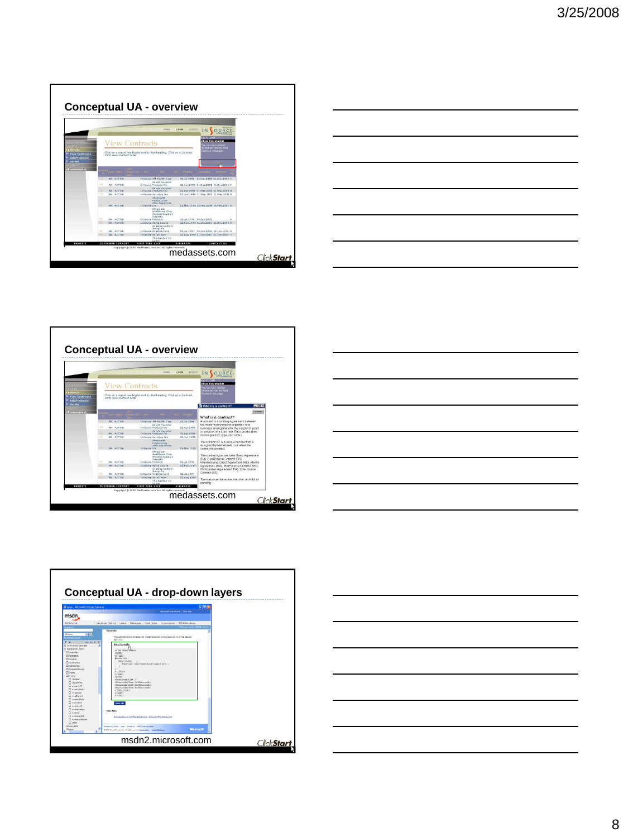









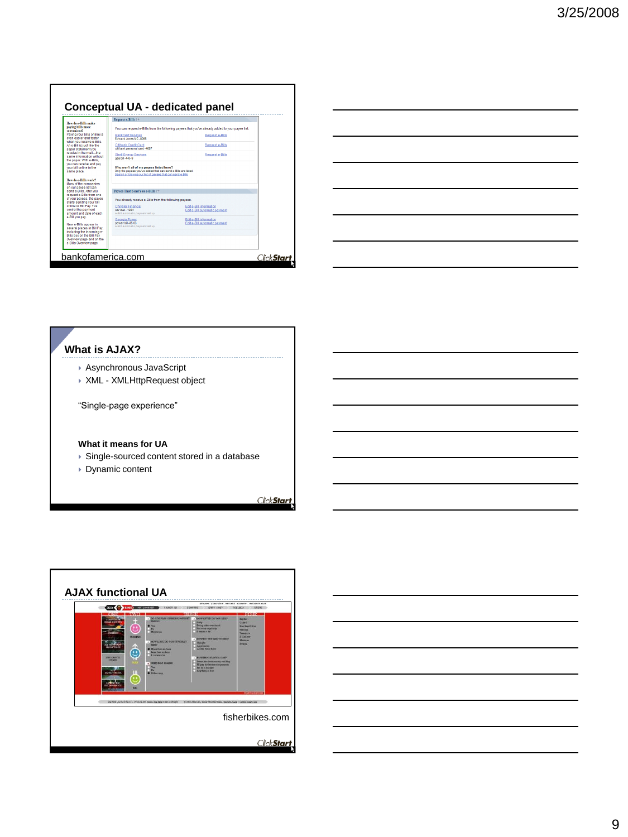| You can request e-Bills from the following payees that you've already added to your payee list. |
|-------------------------------------------------------------------------------------------------|
|                                                                                                 |
|                                                                                                 |
|                                                                                                 |
|                                                                                                 |
|                                                                                                 |
|                                                                                                 |
|                                                                                                 |
|                                                                                                 |
|                                                                                                 |
|                                                                                                 |
|                                                                                                 |
|                                                                                                 |

| a sa mga bansang pag-ang pag-ang pag-ang pag-ang pag-ang pag-ang pag-ang pag-ang pag-ang pag-ang pag-ang pag-a |  |  |
|----------------------------------------------------------------------------------------------------------------|--|--|
|                                                                                                                |  |  |
| <u> 1989 - Johann Stoff, amerikansk politiker (d. 1989)</u>                                                    |  |  |
| <u> 1989 - Andrea Andrew Maria (h. 1989).</u>                                                                  |  |  |
|                                                                                                                |  |  |

### **What is AJAX?**

- Asynchronous JavaScript
- XML XMLHttpRequest object

"Single-page experience"

### **What it means for UA**

- ▶ Single-sourced content stored in a database
- Dynamic content

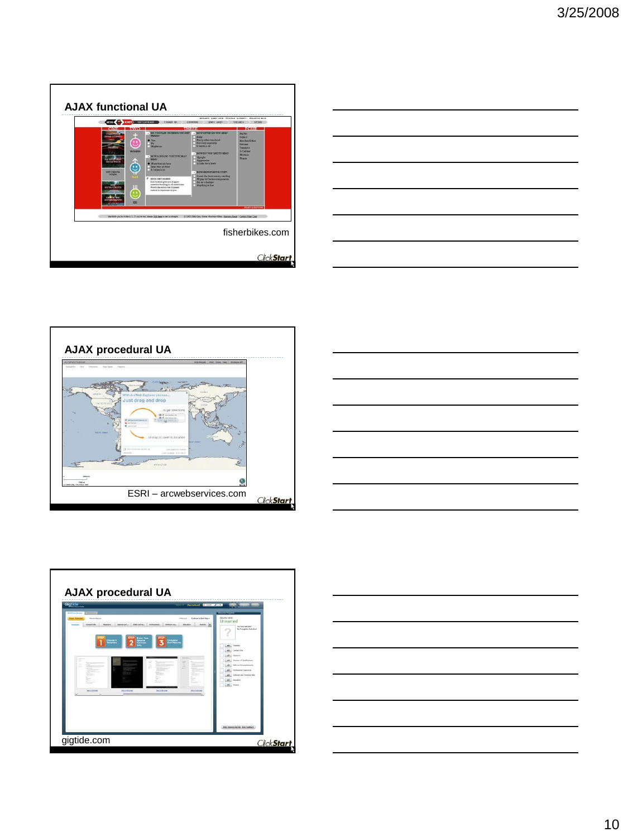









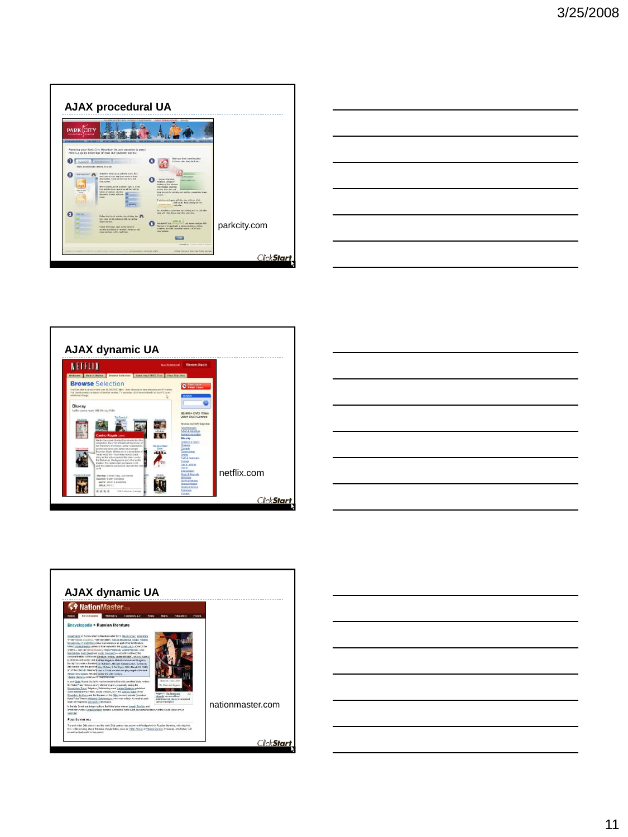









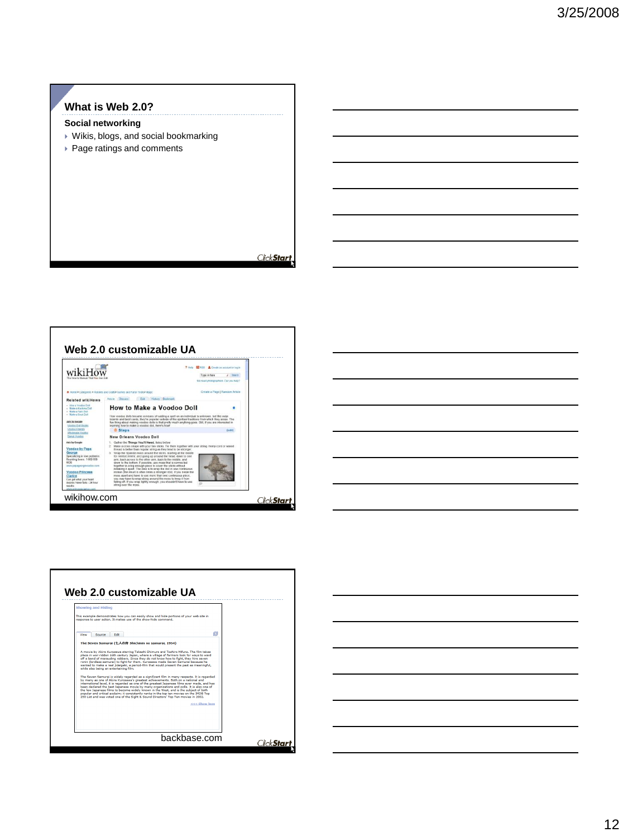### **What is Web 2.0?**

### **Social networking**

- Wikis, blogs, and social bookmarking
- Page ratings and comments





| Web 2.0 customizable UA |        |                                                                                                                                                                                                                                                                                                                                                                                                                                                                                                                                                                                                                                                                                                                                                                                                                                                                                                                                                                                                                                                                           |  |              |               |  |                     |
|-------------------------|--------|---------------------------------------------------------------------------------------------------------------------------------------------------------------------------------------------------------------------------------------------------------------------------------------------------------------------------------------------------------------------------------------------------------------------------------------------------------------------------------------------------------------------------------------------------------------------------------------------------------------------------------------------------------------------------------------------------------------------------------------------------------------------------------------------------------------------------------------------------------------------------------------------------------------------------------------------------------------------------------------------------------------------------------------------------------------------------|--|--------------|---------------|--|---------------------|
| Showing and Hiding      |        |                                                                                                                                                                                                                                                                                                                                                                                                                                                                                                                                                                                                                                                                                                                                                                                                                                                                                                                                                                                                                                                                           |  |              |               |  |                     |
|                         |        | This example demonstrates how you can easily show and hide portions of your web site in<br>response to user action. It makes use of the show-hide command.                                                                                                                                                                                                                                                                                                                                                                                                                                                                                                                                                                                                                                                                                                                                                                                                                                                                                                                |  |              |               |  |                     |
| View                    | Source | <b>Fdit</b>                                                                                                                                                                                                                                                                                                                                                                                                                                                                                                                                                                                                                                                                                                                                                                                                                                                                                                                                                                                                                                                               |  |              | ø             |  |                     |
|                         |        | place in war-ridden 16th century Japan, where a village of farmers look for ways to ward<br>off a band of marauding robbers. Since they do not know how to fight, they hire seven<br>ronin (lordless samurai) to fight for them. Kurosawa made Seven Samurai because he<br>wanted to make a real iidaigeki, a period-film that would present the past as meaningful.<br>while also being an entertaining film.<br>The Seven Samurai is widely reparded as a significant film in many respects. It is reparded<br>by many as one of Akira Kurosawa's greatest achievements, Both on a national and<br>international level, it is regarded as one of the greatest Japanese films ever made, and has<br>been declared the best Japanese movie by many organizations and polls. It is also one of<br>the few Japanese films to become widely known in the West, and is the subject of both<br>popular and critical acclaim; it consistently ranks in the top ten movies on the IMDB Top<br>250 List and was voted one of the Sight & Sound Directors' Too Ten movies in 2002. |  |              | <<< Show less |  |                     |
|                         |        |                                                                                                                                                                                                                                                                                                                                                                                                                                                                                                                                                                                                                                                                                                                                                                                                                                                                                                                                                                                                                                                                           |  | backbase.com |               |  | Click <b>Star</b> t |

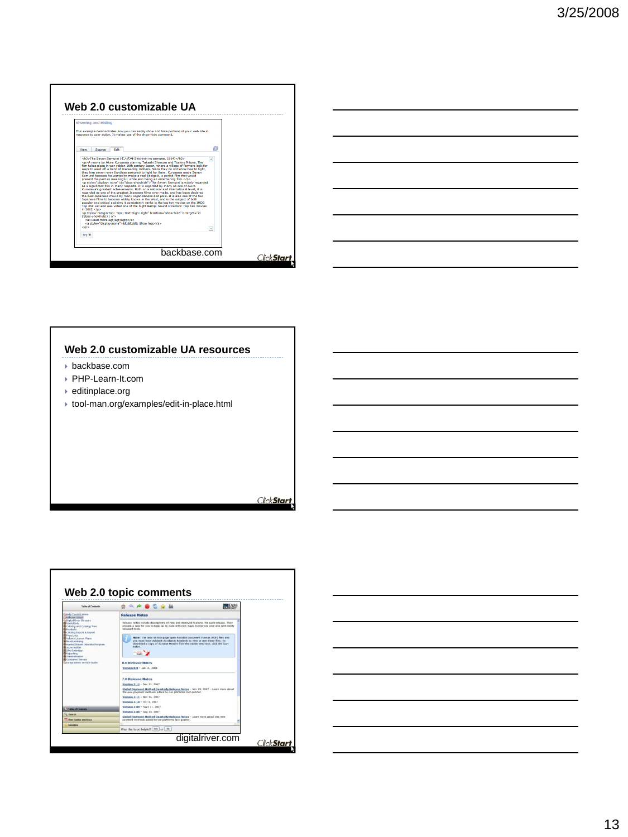



#### **Web 2.0 customizable UA resources**

- backbase.com
- PHP-Learn-It.com
- editinplace.org
- tool-man.org/examples/edit-in-place.html



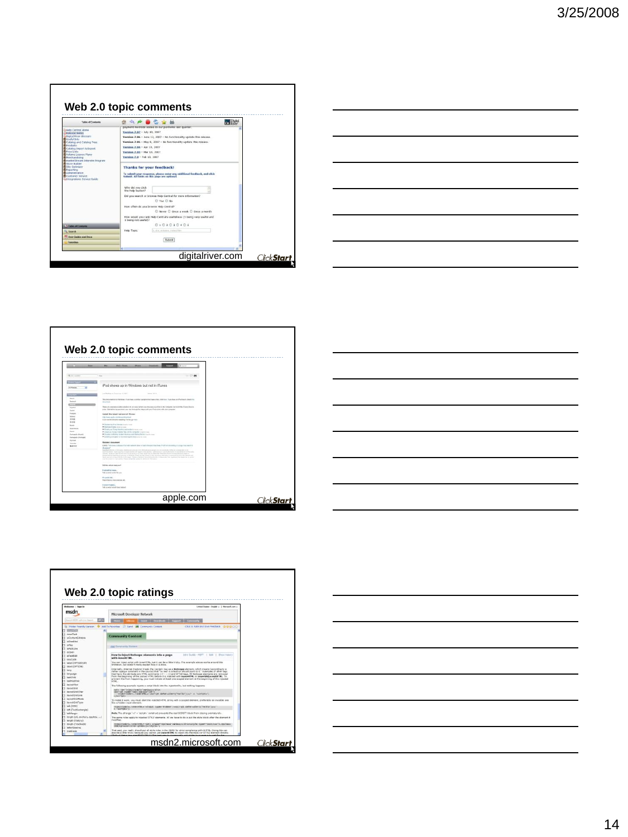









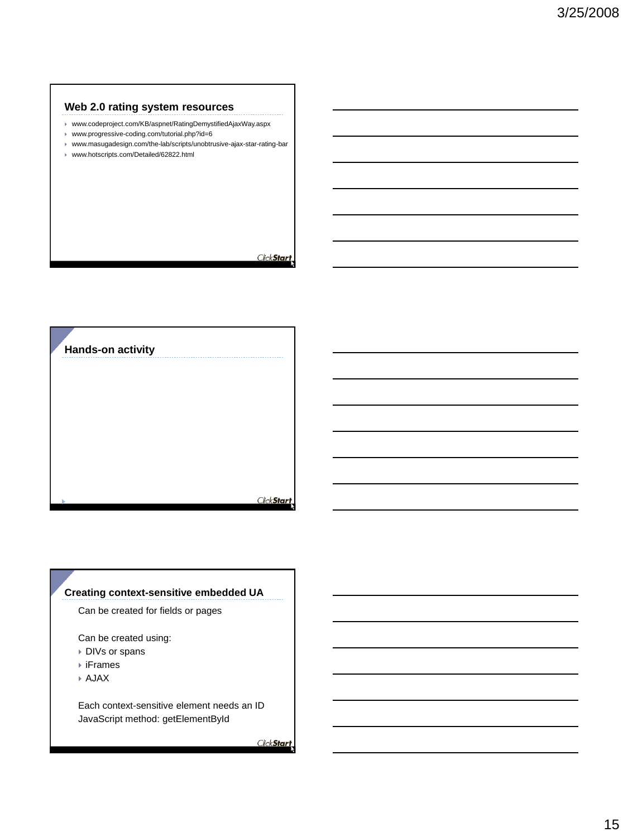### **Web 2.0 rating system resources**

- www.codeproject.com/KB/aspnet/RatingDemystifiedAjaxWay.aspx
- www.progressive-coding.com/tutorial.php?id=6
- www.masugadesign.com/the-lab/scripts/unobtrusive-ajax-star-rating-bar
- www.hotscripts.com/Detailed/62822.html

ClickStart



### **Creating context-sensitive embedded UA**

Can be created for fields or pages

Can be created using:

- ▶ DIVs or spans
- iFrames
- AJAX

Each context-sensitive element needs an ID JavaScript method: getElementById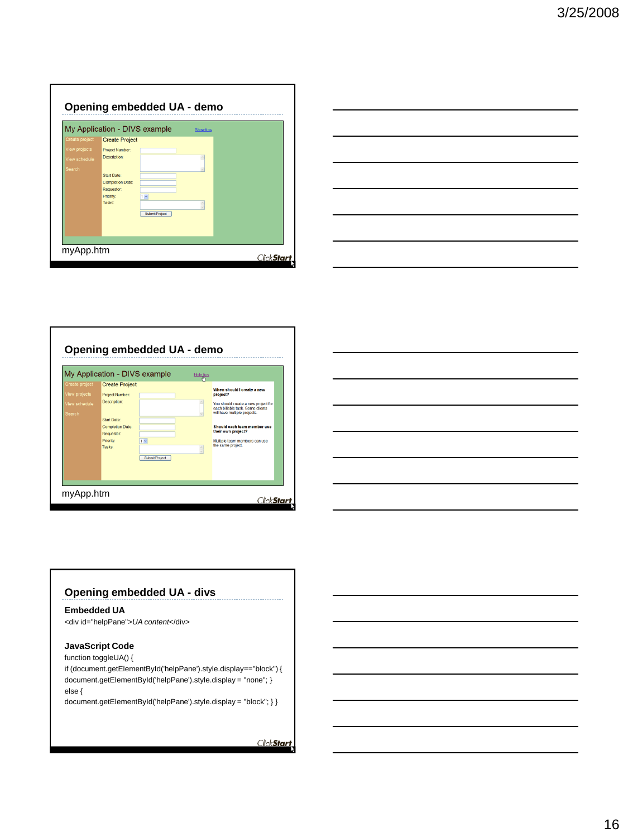| My Application - DIVS example | <b>Show tips</b> |
|-------------------------------|------------------|
| <b>Create Project</b>         |                  |
| Project Number:               |                  |
| <b>Description:</b>           |                  |
| Start Date:                   |                  |
| <b>Completion Date:</b>       |                  |
| Priority:<br>$1 -$            |                  |
| Tasks:                        |                  |
| Submit Project                |                  |
|                               |                  |
|                               |                  |
|                               | Requestor:       |



|                                 | My Application - DIVS example                        |                       | Hide tips |                                                                                                                     |
|---------------------------------|------------------------------------------------------|-----------------------|-----------|---------------------------------------------------------------------------------------------------------------------|
| Create project<br>View projects | <b>Create Project</b>                                |                       |           | When should I create a new                                                                                          |
| /iew schedule<br><b>Search</b>  | <b>Project Number:</b><br>Description:               |                       |           | project?<br>You should create a new project for<br>each billable task. Some clients<br>will have multiple projects. |
|                                 | Start Date:<br><b>Completion Date:</b><br>Requestor: |                       |           | Should each team member use<br>their own project?                                                                   |
|                                 | Priority:<br><b>Tasks:</b>                           | $1 -$                 |           | Multiple team members can use<br>the same project.                                                                  |
|                                 |                                                      | <b>Submit Project</b> |           |                                                                                                                     |



### **Opening embedded UA - divs**

#### **Embedded UA**

<div id="helpPane">*UA content*</div>

### **JavaScript Code**

function toggleUA() {

if (document.getElementById('helpPane').style.display=="block") { document.getElementById('helpPane').style.display = "none"; } else {

document.getElementById('helpPane').style.display = "block"; } }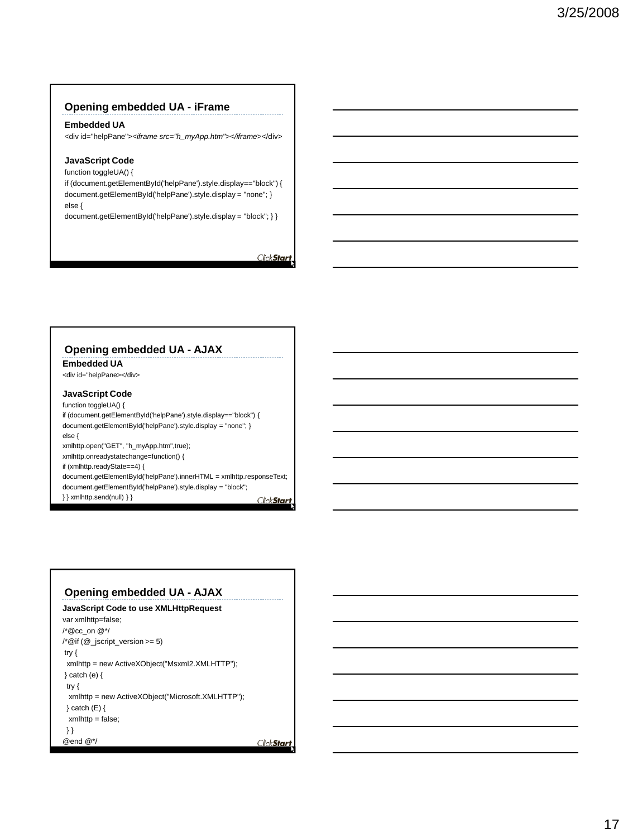### **Opening embedded UA - iFrame**

#### **Embedded UA**

<div id="helpPane">*<iframe src="h\_myApp.htm"></iframe>*</div>

#### **JavaScript Code**

function toggleUA() {

if (document.getElementById('helpPane').style.display=="block") { document.getElementById('helpPane').style.display = "none"; } else {

document.getElementById('helpPane').style.display = "block"; } }

ClickStart

### **Opening embedded UA - AJAX**

**Embedded UA**

<div id="helpPane></div>

### **JavaScript Code**

function toggleUA() { if (document.getElementById('helpPane').style.display=="block") { document.getElementById('helpPane').style.display = "none"; } else { xmlhttp.open("GET", "h\_myApp.htm",true); xmlhttp.onreadystatechange=function() { if (xmlhttp.readyState==4) { document.getElementById('helpPane').innerHTML = xmlhttp.responseText; document.getElementById('helpPane').style.display = "block"; } } xmlhttp.send(null) } }

ClickStart

### **Opening embedded UA - AJAX**

```
JavaScript Code to use XMLHttpRequest
var xmlhttp=false;
/*@cc_on @*/
\sqrt{2} (\omega jscript_version >= 5)
try {
 xmlhttp = new ActiveXObject("Msxml2.XMLHTTP");
} catch (e) {
 try {
 xmlhttp = new ActiveXObject("Microsoft.XMLHTTP");
 } catch (E) {
 xmlhttp = false;
 } }
@end @*/Click Start
```
17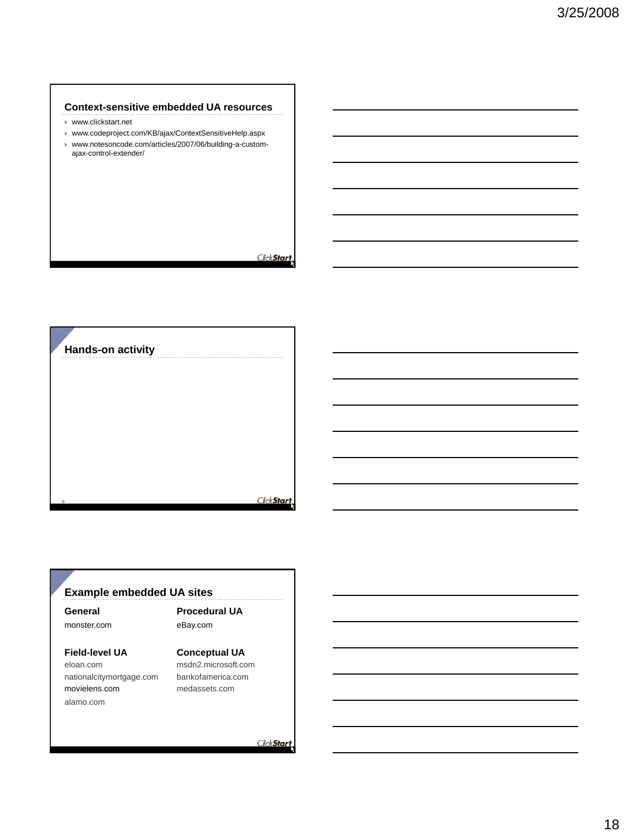### **Context-sensitive embedded UA resources**

- www.clickstart.net
- www.codeproject.com/KB/ajax/ContextSensitiveHelp.aspx
- www.notesoncode.com/articles/2007/06/building-a-customajax-control-extender/

ClickStart

**Hands-on activity**

ClickStart

### **Example embedded UA sites**

**General** monster.com

### **Procedural UA** eBay.com

### **Field-level UA**

eloan.com nationalcitymortgage.com movielens.com alamo.com

**Conceptual UA** msdn2.microsoft.com bankofamerica.com

medassets.com